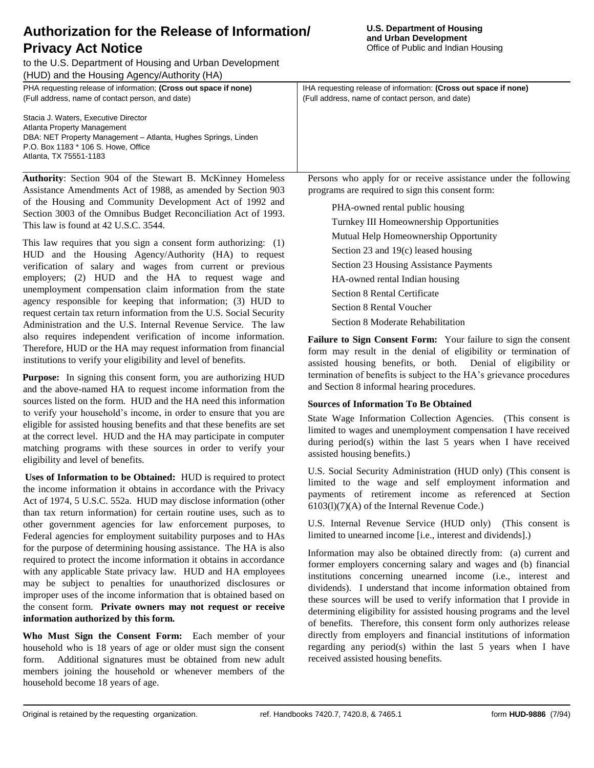Original is retained by the requesting organization. ref. Handbooks 7420.7, 7420.8, & 7465.1 form **HUD-9886** (7/94)

to the U.S. Department of Housing and Urban Development (HUD) and the Housing Agency/Authority (HA) PHA requesting release of information; **(Cross out space if none)** IHA requesting release of information: **(Cross out space if none)** (Full address, name of contact person, and date)

(Full address, name of contact person, and date)

**Authority**: Section 904 of the Stewart B. McKinney Homeless Assistance Amendments Act of 1988, as amended by Section 903 of the Housing and Community Development Act of 1992 and Section 3003 of the Omnibus Budget Reconciliation Act of 1993. This law is found at 42 U.S.C. 3544.

DBA: NET Property Management – Atlanta, Hughes Springs, Linden

Stacia J. Waters, Executive Director Atlanta Property Management

P.O. Box 1183 \* 106 S. Howe, Office

Atlanta, TX 75551-1183

This law requires that you sign a consent form authorizing: (1) HUD and the Housing Agency/Authority (HA) to request verification of salary and wages from current or previous employers; (2) HUD and the HA to request wage and unemployment compensation claim information from the state agency responsible for keeping that information; (3) HUD to request certain tax return information from the U.S. Social Security Administration and the U.S. Internal Revenue Service. The law also requires independent verification of income information. Therefore, HUD or the HA may request information from financial institutions to verify your eligibility and level of benefits.

**Purpose:** In signing this consent form, you are authorizing HUD and the above-named HA to request income information from the sources listed on the form. HUD and the HA need this information to verify your household's income, in order to ensure that you are eligible for assisted housing benefits and that these benefits are set at the correct level. HUD and the HA may participate in computer matching programs with these sources in order to verify your eligibility and level of benefits.

**Uses of Information to be Obtained:** HUD is required to protect the income information it obtains in accordance with the Privacy Act of 1974, 5 U.S.C. 552a. HUD may disclose information (other than tax return information) for certain routine uses, such as to other government agencies for law enforcement purposes, to Federal agencies for employment suitability purposes and to HAs for the purpose of determining housing assistance. The HA is also required to protect the income information it obtains in accordance with any applicable State privacy law. HUD and HA employees may be subject to penalties for unauthorized disclosures or improper uses of the income information that is obtained based on the consent form. **Private owners may not request or receive information authorized by this form.**

**Who Must Sign the Consent Form:** Each member of your household who is 18 years of age or older must sign the consent form. Additional signatures must be obtained from new adult members joining the household or whenever members of the household become 18 years of age.

Persons who apply for or receive assistance under the following programs are required to sign this consent form:

PHA-owned rental public housing Turnkey III Homeownership Opportunities Mutual Help Homeownership Opportunity Section 23 and 19(c) leased housing Section 23 Housing Assistance Payments HA-owned rental Indian housing Section 8 Rental Certificate Section 8 Rental Voucher Section 8 Moderate Rehabilitation

**Failure to Sign Consent Form:** Your failure to sign the consent form may result in the denial of eligibility or termination of assisted housing benefits, or both. Denial of eligibility or termination of benefits is subject to the HA's grievance procedures and Section 8 informal hearing procedures.

## **Sources of Information To Be Obtained**

State Wage Information Collection Agencies. (This consent is limited to wages and unemployment compensation I have received during period(s) within the last 5 years when I have received assisted housing benefits.)

U.S. Social Security Administration (HUD only) (This consent is limited to the wage and self employment information and payments of retirement income as referenced at Section 6103(l)(7)(A) of the Internal Revenue Code.)

U.S. Internal Revenue Service (HUD only) (This consent is limited to unearned income [i.e., interest and dividends].)

Information may also be obtained directly from: (a) current and former employers concerning salary and wages and (b) financial institutions concerning unearned income (i.e., interest and dividends). I understand that income information obtained from these sources will be used to verify information that I provide in determining eligibility for assisted housing programs and the level of benefits. Therefore, this consent form only authorizes release directly from employers and financial institutions of information regarding any period(s) within the last 5 years when I have received assisted housing benefits.